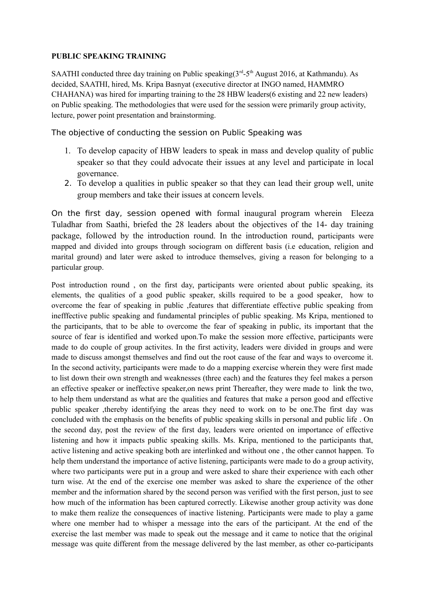### **PUBLIC SPEAKING TRAINING**

SAATHI conducted three day training on Public speaking( $3<sup>rd</sup> - 5<sup>th</sup>$  August 2016, at Kathmandu). As decided, SAATHI, hired, Ms. Kripa Basnyat (executive director at INGO named, HAMMRO CHAHANA) was hired for imparting training to the 28 HBW leaders(6 existing and 22 new leaders) on Public speaking. The methodologies that were used for the session were primarily group activity, lecture, power point presentation and brainstorming.

The objective of conducting the session on Public Speaking was

- 1. To develop capacity of HBW leaders to speak in mass and develop quality of public speaker so that they could advocate their issues at any level and participate in local governance.
- 2. To develop a qualities in public speaker so that they can lead their group well, unite group members and take their issues at concern levels.

On the first day, session opened with formal inaugural program wherein Eleeza Tuladhar from Saathi, briefed the 28 leaders about the objectives of the 14- day training package, followed by the introduction round. In the introduction round, participants were mapped and divided into groups through sociogram on different basis (i.e education, religion and marital ground) and later were asked to introduce themselves, giving a reason for belonging to a particular group.

Post introduction round , on the first day, participants were oriented about public speaking, its elements, the qualities of a good public speaker, skills required to be a good speaker, how to overcome the fear of speaking in public ,features that differentiate effective public speaking from inefffective public speaking and fundamental principles of public speaking. Ms Kripa, mentioned to the participants, that to be able to overcome the fear of speaking in public, its important that the source of fear is identified and worked upon.To make the session more effective, participants were made to do couple of group activites. In the first activity, leaders were divided in groups and were made to discuss amongst themselves and find out the root cause of the fear and ways to overcome it. In the second activity, participants were made to do a mapping exercise wherein they were first made to list down their own strength and weaknesses (three each) and the features they feel makes a person an effective speaker or ineffective speaker,on news print Thereafter, they were made to link the two, to help them understand as what are the qualities and features that make a person good and effective public speaker ,thereby identifying the areas they need to work on to be one.The first day was concluded with the emphasis on the benefits of public speaking skills in personal and public life . On the second day, post the review of the first day, leaders were oriented on importance of effective listening and how it impacts public speaking skills. Ms. Kripa, mentioned to the participants that, active listening and active speaking both are interlinked and without one , the other cannot happen. To help them understand the importance of active listening, participants were made to do a group activity, where two participants were put in a group and were asked to share their experience with each other turn wise. At the end of the exercise one member was asked to share the experience of the other member and the information shared by the second person was verified with the first person, just to see how much of the information has been captured correctly. Likewise another group activity was done to make them realize the consequences of inactive listening. Participants were made to play a game where one member had to whisper a message into the ears of the participant. At the end of the exercise the last member was made to speak out the message and it came to notice that the original message was quite different from the message delivered by the last member, as other co-participants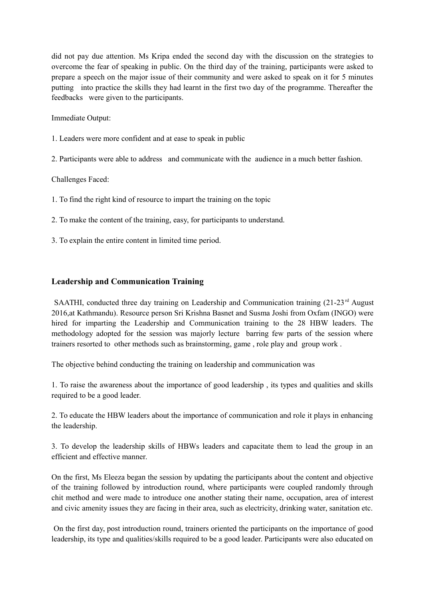did not pay due attention. Ms Kripa ended the second day with the discussion on the strategies to overcome the fear of speaking in public. On the third day of the training, participants were asked to prepare a speech on the major issue of their community and were asked to speak on it for 5 minutes putting into practice the skills they had learnt in the first two day of the programme. Thereafter the feedbacks were given to the participants.

Immediate Output:

- 1. Leaders were more confident and at ease to speak in public
- 2. Participants were able to address and communicate with the audience in a much better fashion.

Challenges Faced:

- 1. To find the right kind of resource to impart the training on the topic
- 2. To make the content of the training, easy, for participants to understand.
- 3. To explain the entire content in limited time period.

### **Leadership and Communication Training**

SAATHI, conducted three day training on Leadership and Communication training  $(21-23<sup>rd</sup>$  August 2016,at Kathmandu). Resource person Sri Krishna Basnet and Susma Joshi from Oxfam (INGO) were hired for imparting the Leadership and Communication training to the 28 HBW leaders. The methodology adopted for the session was majorly lecture barring few parts of the session where trainers resorted to other methods such as brainstorming, game , role play and group work .

The objective behind conducting the training on leadership and communication was

1. To raise the awareness about the importance of good leadership , its types and qualities and skills required to be a good leader.

2. To educate the HBW leaders about the importance of communication and role it plays in enhancing the leadership.

3. To develop the leadership skills of HBWs leaders and capacitate them to lead the group in an efficient and effective manner.

On the first, Ms Eleeza began the session by updating the participants about the content and objective of the training followed by introduction round, where participants were coupled randomly through chit method and were made to introduce one another stating their name, occupation, area of interest and civic amenity issues they are facing in their area, such as electricity, drinking water, sanitation etc.

 On the first day, post introduction round, trainers oriented the participants on the importance of good leadership, its type and qualities/skills required to be a good leader. Participants were also educated on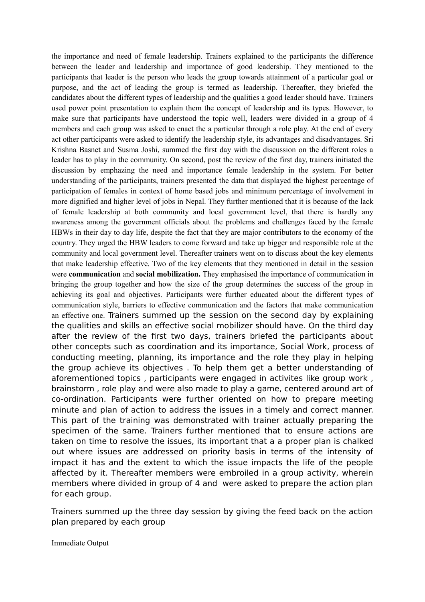the importance and need of female leadership. Trainers explained to the participants the difference between the leader and leadership and importance of good leadership. They mentioned to the participants that leader is the person who leads the group towards attainment of a particular goal or purpose, and the act of leading the group is termed as leadership. Thereafter, they briefed the candidates about the different types of leadership and the qualities a good leader should have. Trainers used power point presentation to explain them the concept of leadership and its types. However, to make sure that participants have understood the topic well, leaders were divided in a group of 4 members and each group was asked to enact the a particular through a role play. At the end of every act other participants were asked to identify the leadership style, its advantages and disadvantages. Sri Krishna Basnet and Susma Joshi, summed the first day with the discussion on the different roles a leader has to play in the community. On second, post the review of the first day, trainers initiated the discussion by emphazing the need and importance female leadership in the system. For better understanding of the participants, trainers presented the data that displayed the highest percentage of participation of females in context of home based jobs and minimum percentage of involvement in more dignified and higher level of jobs in Nepal. They further mentioned that it is because of the lack of female leadership at both community and local government level, that there is hardly any awareness among the government officials about the problems and challenges faced by the female HBWs in their day to day life, despite the fact that they are major contributors to the economy of the country. They urged the HBW leaders to come forward and take up bigger and responsible role at the community and local government level. Thereafter trainers went on to discuss about the key elements that make leadership effective. Two of the key elements that they mentioned in detail in the session were **communication** and **social mobilization.** They emphasised the importance of communication in bringing the group together and how the size of the group determines the success of the group in achieving its goal and objectives. Participants were further educated about the different types of communication style, barriers to effective communication and the factors that make communication an effective one. Trainers summed up the session on the second day by explaining the qualities and skills an effective social mobilizer should have. On the third day after the review of the first two days, trainers briefed the participants about other concepts such as coordination and its importance, Social Work, process of conducting meeting, planning, its importance and the role they play in helping the group achieve its objectives . To help them get a better understanding of aforementioned topics , participants were engaged in activites like group work , brainstorm , role play and were also made to play a game, centered around art of co-ordination. Participants were further oriented on how to prepare meeting minute and plan of action to address the issues in a timely and correct manner. This part of the training was demonstrated with trainer actually preparing the specimen of the same. Trainers further mentioned that to ensure actions are taken on time to resolve the issues, its important that a a proper plan is chalked out where issues are addressed on priority basis in terms of the intensity of impact it has and the extent to which the issue impacts the life of the people affected by it. Thereafter members were embroiled in a group activity, wherein members where divided in group of 4 and were asked to prepare the action plan for each group.

Trainers summed up the three day session by giving the feed back on the action plan prepared by each group

Immediate Output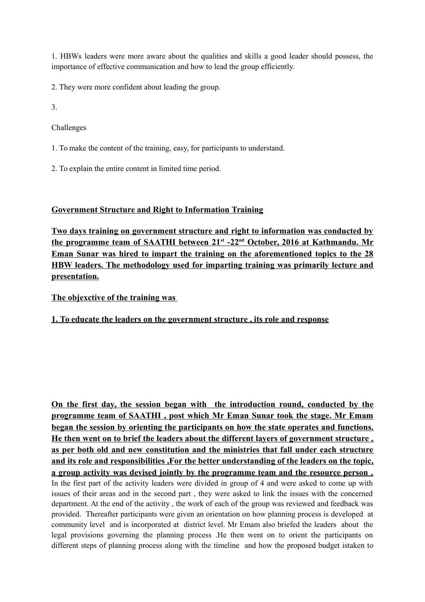1. HBWs leaders were more aware about the qualities and skills a good leader should possess, the importance of effective communication and how to lead the group efficiently.

2. They were more confident about leading the group.

3.

Challenges

1. To make the content of the training, easy, for participants to understand.

2. To explain the entire content in limited time period.

## **Government Structure and Right to Information Training**

**Two days training on government structure and right to information was conducted by the programme team of SAATHI between 21st -22nd October, 2016 at Kathmandu. Mr Eman Sunar was hired to impart the training on the aforementioned topics to the 28 HBW leaders. The methodology used for imparting training was primarily lecture and presentation.**

**The objexctive of the training was** 

## **1. To educate the leaders on the government structure , its role and response**

**On the first day, the session began with the introduction round, conducted by the programme team of SAATHI , post which Mr Eman Sunar took the stage. Mr Emam began the session by orienting the participants on how the state operates and functions. He then went on to brief the leaders about the different layers of government structure , as per both old and new constitution and the ministries that fall under each structure and its role and responsibilities ,For the better understanding of the leaders on the topic, a group activity was devised jointly by the programme team and the resource person .** In the first part of the activity leaders were divided in group of 4 and were asked to come up with issues of their areas and in the second part , they were asked to link the issues with the concerned department. At the end of the activity , the work of each of the group was reviewed and feedback was provided. Thereafter participants were given an orientation on how planning process is developed at community level and is incorporated at district level. Mr Emam also briefed the leaders about the legal provisions governing the planning process .He then went on to orient the participants on different steps of planning process along with the timeline and how the proposed budget istaken to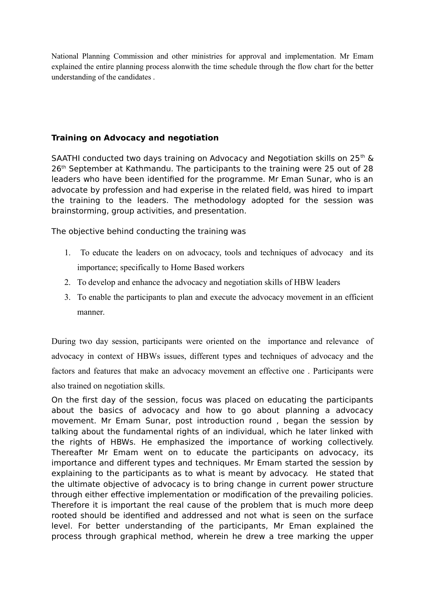National Planning Commission and other ministries for approval and implementation. Mr Emam explained the entire planning process alonwith the time schedule through the flow chart for the better understanding of the candidates .

## **Training on Advocacy and negotiation**

SAATHI conducted two days training on Advocacy and Negotiation skills on  $25<sup>th</sup>$  & 26<sup>th</sup> September at Kathmandu. The participants to the training were 25 out of 28 leaders who have been identified for the programme. Mr Eman Sunar, who is an advocate by profession and had experise in the related field, was hired to impart the training to the leaders. The methodology adopted for the session was brainstorming, group activities, and presentation.

The objective behind conducting the training was

- 1. To educate the leaders on on advocacy, tools and techniques of advocacy and its importance; specifically to Home Based workers
- 2. To develop and enhance the advocacy and negotiation skills of HBW leaders
- 3. To enable the participants to plan and execute the advocacy movement in an efficient manner.

During two day session, participants were oriented on the importance and relevance of advocacy in context of HBWs issues, different types and techniques of advocacy and the factors and features that make an advocacy movement an effective one . Participants were also trained on negotiation skills.

On the first day of the session, focus was placed on educating the participants about the basics of advocacy and how to go about planning a advocacy movement. Mr Emam Sunar, post introduction round , began the session by talking about the fundamental rights of an individual, which he later linked with the rights of HBWs. He emphasized the importance of working collectively. Thereafter Mr Emam went on to educate the participants on advocacy, its importance and different types and techniques. Mr Emam started the session by explaining to the participants as to what is meant by advocacy. He stated that the ultimate objective of advocacy is to bring change in current power structure through either effective implementation or modification of the prevailing policies. Therefore it is important the real cause of the problem that is much more deep rooted should be identified and addressed and not what is seen on the surface level. For better understanding of the participants, Mr Eman explained the process through graphical method, wherein he drew a tree marking the upper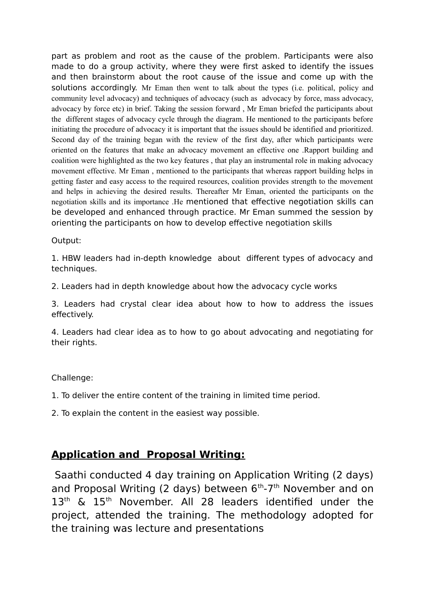part as problem and root as the cause of the problem. Participants were also made to do a group activity, where they were first asked to identify the issues and then brainstorm about the root cause of the issue and come up with the solutions accordingly. Mr Eman then went to talk about the types (i.e. political, policy and community level advocacy) and techniques of advocacy (such as advocacy by force, mass advocacy, advocacy by force etc) in brief. Taking the session forward , Mr Eman briefed the participants about the different stages of advocacy cycle through the diagram. He mentioned to the participants before initiating the procedure of advocacy it is important that the issues should be identified and prioritized. Second day of the training began with the review of the first day, after which participants were oriented on the features that make an advocacy movement an effective one .Rapport building and coalition were highlighted as the two key features , that play an instrumental role in making advocacy movement effective. Mr Eman , mentioned to the participants that whereas rapport building helps in getting faster and easy access to the required resources, coalition provides strength to the movement and helps in achieving the desired results. Thereafter Mr Eman, oriented the participants on the negotiation skills and its importance .He mentioned that effective negotiation skills can be developed and enhanced through practice. Mr Eman summed the session by orienting the participants on how to develop effective negotiation skills

Output:

1. HBW leaders had in-depth knowledge about different types of advocacy and techniques.

2. Leaders had in depth knowledge about how the advocacy cycle works

3. Leaders had crystal clear idea about how to how to address the issues effectively.

4. Leaders had clear idea as to how to go about advocating and negotiating for their rights.

# Challenge:

1. To deliver the entire content of the training in limited time period.

2. To explain the content in the easiest way possible.

# **Application and Proposal Writing:**

 Saathi conducted 4 day training on Application Writing (2 days) and Proposal Writing (2 days) between  $6<sup>th</sup> - 7<sup>th</sup>$  November and on 13<sup>th</sup> & 15<sup>th</sup> November. All 28 leaders identified under the project, attended the training. The methodology adopted for the training was lecture and presentations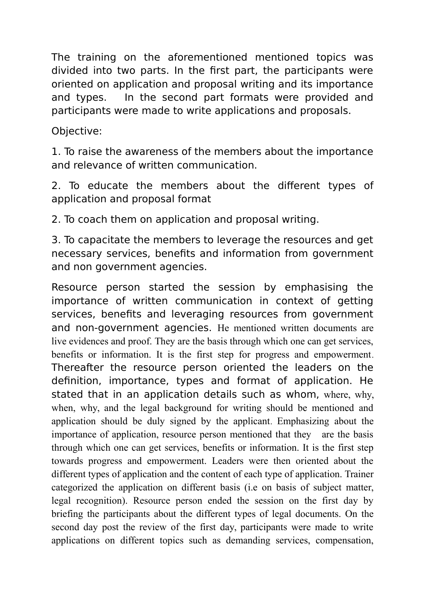The training on the aforementioned mentioned topics was divided into two parts. In the first part, the participants were oriented on application and proposal writing and its importance and types. In the second part formats were provided and participants were made to write applications and proposals.

Objective:

1. To raise the awareness of the members about the importance and relevance of written communication.

2. To educate the members about the different types of application and proposal format

2. To coach them on application and proposal writing.

3. To capacitate the members to leverage the resources and get necessary services, benefits and information from government and non government agencies.

Resource person started the session by emphasising the importance of written communication in context of getting services, benefits and leveraging resources from government and non-government agencies. He mentioned written documents are live evidences and proof. They are the basis through which one can get services, benefits or information. It is the first step for progress and empowerment. Thereafter the resource person oriented the leaders on the definition, importance, types and format of application. He stated that in an application details such as whom, where, why, when, why, and the legal background for writing should be mentioned and application should be duly signed by the applicant. Emphasizing about the importance of application, resource person mentioned that they are the basis through which one can get services, benefits or information. It is the first step towards progress and empowerment. Leaders were then oriented about the different types of application and the content of each type of application. Trainer categorized the application on different basis (i.e on basis of subject matter, legal recognition). Resource person ended the session on the first day by briefing the participants about the different types of legal documents. On the second day post the review of the first day, participants were made to write applications on different topics such as demanding services, compensation,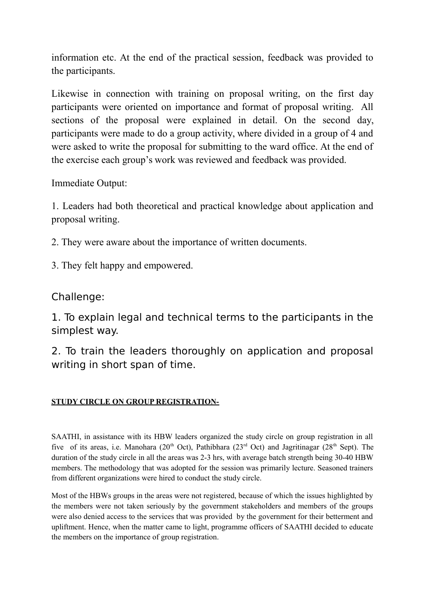information etc. At the end of the practical session, feedback was provided to the participants.

Likewise in connection with training on proposal writing, on the first day participants were oriented on importance and format of proposal writing. All sections of the proposal were explained in detail. On the second day, participants were made to do a group activity, where divided in a group of 4 and were asked to write the proposal for submitting to the ward office. At the end of the exercise each group's work was reviewed and feedback was provided.

Immediate Output:

1. Leaders had both theoretical and practical knowledge about application and proposal writing.

2. They were aware about the importance of written documents.

3. They felt happy and empowered.

# Challenge:

1. To explain legal and technical terms to the participants in the simplest way.

2. To train the leaders thoroughly on application and proposal writing in short span of time.

# **STUDY CIRCLE ON GROUP REGISTRATION-**

SAATHI, in assistance with its HBW leaders organized the study circle on group registration in all five of its areas, i.e. Manohara (20<sup>th</sup> Oct), Pathibhara (23<sup>rd</sup> Oct) and Jagritinagar (28<sup>th</sup> Sept). The duration of the study circle in all the areas was 2-3 hrs, with average batch strength being 30-40 HBW members. The methodology that was adopted for the session was primarily lecture. Seasoned trainers from different organizations were hired to conduct the study circle.

Most of the HBWs groups in the areas were not registered, because of which the issues highlighted by the members were not taken seriously by the government stakeholders and members of the groups were also denied access to the services that was provided by the government for their betterment and upliftment. Hence, when the matter came to light, programme officers of SAATHI decided to educate the members on the importance of group registration.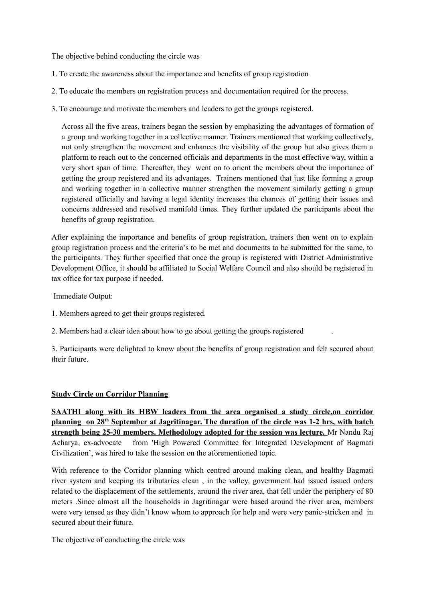The objective behind conducting the circle was

- 1. To create the awareness about the importance and benefits of group registration
- 2. To educate the members on registration process and documentation required for the process.
- 3. To encourage and motivate the members and leaders to get the groups registered.

Across all the five areas, trainers began the session by emphasizing the advantages of formation of a group and working together in a collective manner. Trainers mentioned that working collectively, not only strengthen the movement and enhances the visibility of the group but also gives them a platform to reach out to the concerned officials and departments in the most effective way, within a very short span of time. Thereafter, they went on to orient the members about the importance of getting the group registered and its advantages. Trainers mentioned that just like forming a group and working together in a collective manner strengthen the movement similarly getting a group registered officially and having a legal identity increases the chances of getting their issues and concerns addressed and resolved manifold times. They further updated the participants about the benefits of group registration.

After explaining the importance and benefits of group registration, trainers then went on to explain group registration process and the criteria's to be met and documents to be submitted for the same, to the participants. They further specified that once the group is registered with District Administrative Development Office, it should be affiliated to Social Welfare Council and also should be registered in tax office for tax purpose if needed.

Immediate Output:

- 1. Members agreed to get their groups registered.
- 2. Members had a clear idea about how to go about getting the groups registered .

3. Participants were delighted to know about the benefits of group registration and felt secured about their future.

### **Study Circle on Corridor Planning**

**SAATHI along with its HBW leaders from the area organised a study circle,on corridor** planning on 28<sup>th</sup> September at Jagritinagar. The duration of the circle was 1-2 hrs, with batch **strength being 25-30 members. Methodology adopted for the session was lecture.** Mr Nandu Raj Acharya, ex-advocate from 'High Powered Committee for Integrated Development of Bagmati Civilization', was hired to take the session on the aforementioned topic.

With reference to the Corridor planning which centred around making clean, and healthy Bagmati river system and keeping its tributaries clean , in the valley, government had issued issued orders related to the displacement of the settlements, around the river area, that fell under the periphery of 80 meters .Since almost all the households in Jagritinagar were based around the river area, members were very tensed as they didn't know whom to approach for help and were very panic-stricken and in secured about their future.

The objective of conducting the circle was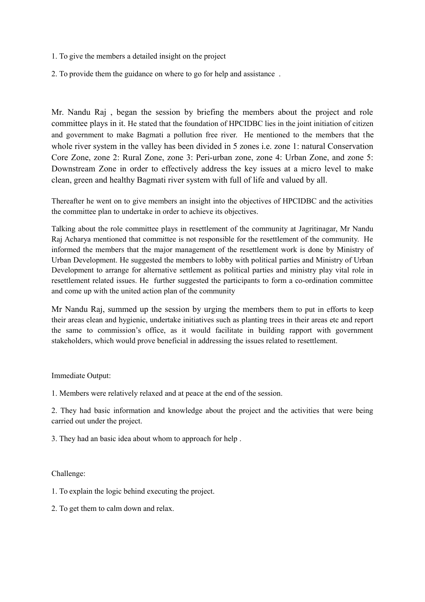- 1. To give the members a detailed insight on the project
- 2. To provide them the guidance on where to go for help and assistance .

Mr. Nandu Raj , began the session by briefing the members about the project and role committee plays in it. He stated that the foundation of HPCIDBC lies in the joint initiation of citizen and government to make Bagmati a pollution free river. He mentioned to the members that the whole river system in the valley has been divided in 5 zones i.e. zone 1: natural Conservation Core Zone, zone 2: Rural Zone, zone 3: Peri-urban zone, zone 4: Urban Zone, and zone 5: Downstream Zone in order to effectively address the key issues at a micro level to make clean, green and healthy Bagmati river system with full of life and valued by all.

Thereafter he went on to give members an insight into the objectives of HPCIDBC and the activities the committee plan to undertake in order to achieve its objectives.

Talking about the role committee plays in resettlement of the community at Jagritinagar, Mr Nandu Raj Acharya mentioned that committee is not responsible for the resettlement of the community. He informed the members that the major management of the resettlement work is done by Ministry of Urban Development. He suggested the members to lobby with political parties and Ministry of Urban Development to arrange for alternative settlement as political parties and ministry play vital role in resettlement related issues. He further suggested the participants to form a co-ordination committee and come up with the united action plan of the community

Mr Nandu Raj, summed up the session by urging the members them to put in efforts to keep their areas clean and hygienic, undertake initiatives such as planting trees in their areas etc and report the same to commission's office, as it would facilitate in building rapport with government stakeholders, which would prove beneficial in addressing the issues related to resettlement.

#### Immediate Output:

1. Members were relatively relaxed and at peace at the end of the session.

2. They had basic information and knowledge about the project and the activities that were being carried out under the project.

3. They had an basic idea about whom to approach for help .

Challenge:

1. To explain the logic behind executing the project.

2. To get them to calm down and relax.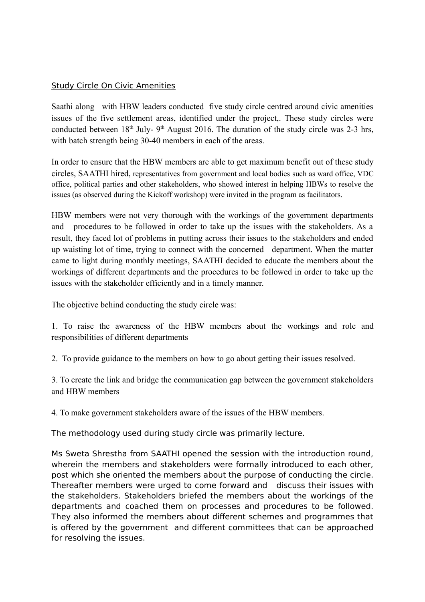## Study Circle On Civic Amenities

Saathi along with HBW leaders conducted five study circle centred around civic amenities issues of the five settlement areas, identified under the project,. These study circles were conducted between  $18<sup>th</sup>$  July-  $9<sup>th</sup>$  August 2016. The duration of the study circle was 2-3 hrs, with batch strength being 30-40 members in each of the areas.

In order to ensure that the HBW members are able to get maximum benefit out of these study circles, SAATHI hired, representatives from government and local bodies such as ward office, VDC office, political parties and other stakeholders, who showed interest in helping HBWs to resolve the issues (as observed during the Kickoff workshop) were invited in the program as facilitators.

HBW members were not very thorough with the workings of the government departments and procedures to be followed in order to take up the issues with the stakeholders. As a result, they faced lot of problems in putting across their issues to the stakeholders and ended up waisting lot of time, trying to connect with the concerned department. When the matter came to light during monthly meetings, SAATHI decided to educate the members about the workings of different departments and the procedures to be followed in order to take up the issues with the stakeholder efficiently and in a timely manner.

The objective behind conducting the study circle was:

1. To raise the awareness of the HBW members about the workings and role and responsibilities of different departments

2. To provide guidance to the members on how to go about getting their issues resolved.

3. To create the link and bridge the communication gap between the government stakeholders and HBW members

4. To make government stakeholders aware of the issues of the HBW members.

The methodology used during study circle was primarily lecture.

Ms Sweta Shrestha from SAATHI opened the session with the introduction round, wherein the members and stakeholders were formally introduced to each other, post which she oriented the members about the purpose of conducting the circle. Thereafter members were urged to come forward and discuss their issues with the stakeholders. Stakeholders briefed the members about the workings of the departments and coached them on processes and procedures to be followed. They also informed the members about different schemes and programmes that is offered by the government and different committees that can be approached for resolving the issues.